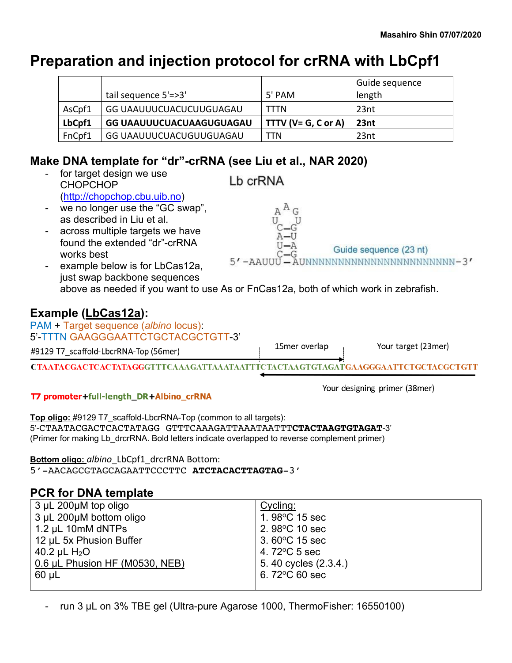# **Preparation and injection protocol for crRNA with LbCpf1**

|        |                          |                          | Guide sequence |
|--------|--------------------------|--------------------------|----------------|
|        | tail sequence 5'=>3'     | 5' PAM                   | length         |
| AsCpf1 | GG UAAUUUCUACUCUUGUAGAU  | <b>TTTN</b>              | 23nt           |
| LbCpf1 | GG UAAUUUCUACUAAGUGUAGAU | TTTV ( $V = G$ , C or A) | 23nt           |
| FnCpf1 | GG UAAUUUCUACUGUUGUAGAU  | TTN                      | 23nt           |

## **Make DNA template for "dr"-crRNA (see Liu et al., NAR 2020)**

for target design we use Lb crRNA CHOPCHOP (http://chopchop.cbu.uib.no) - we no longer use the "GC swap", as described in Liu et al. across multiple targets we have found the extended "dr"-crRNA Guide sequence (23 nt) works best  $5'$  -AAUUU  $\overline{A}$ UNNNNNNNNNNNNNNNNNNNNNNNN-3 $^{\prime}$ example below is for LbCas12a, just swap backbone sequences above as needed if you want to use As or FnCas12a, both of which work in zebrafish. **Example (LbCas12a):** PAM + Target sequence (*albino* locus): 5'-TTTN GAAGGGAATTCTGCTACGCTGTT-3' 15mer overlap Your target (23mer) #9129 T7 scaffold-LbcrRNA-Top (56mer) CTAATACGACTCACTATAGGGTTTCAAAGATTAAATAATTTCTACTAAGTGTAGATGAAGGGAATTCTGCTACGCTGTT

#### T7 promoter+full-length\_DR+Albino\_crRNA

Your designing primer (38mer)

**Top oligo:** #9129 T7\_scaffold-LbcrRNA-Top (common to all targets): 5'-CTAATACGACTCACTATAGG GTTTCAAAGATTAAATAATTT**CTACTAAGTGTAGAT**-3' (Primer for making Lb\_drcrRNA. Bold letters indicate overlapped to reverse complement primer)

**Bottom oligo:** *albino*\_LbCpf1\_drcrRNA Bottom: 5'-AACAGCGTAGCAGAATTCCCTTC **ATCTACACTTAGTAG**-3'

## **PCR for DNA template**

| $3 \mu L$ 200 $\mu$ M top oligo | Cycling:                 |
|---------------------------------|--------------------------|
| 3 µL 200µM bottom oligo         | 1.98 $\degree$ C 15 sec  |
| 1.2 $\mu$ L 10mM dNTPs          | 2. $98^{\circ}$ C 10 sec |
| 12 µL 5x Phusion Buffer         | $3.60^{\circ}$ C 15 sec  |
| 40.2 $\mu$ L H <sub>2</sub> O   | 4.72 $\degree$ C 5 sec   |
| 0.6 µL Phusion HF (M0530, NEB)  | 5.40 cycles (2.3.4.)     |
| $60 \mu L$                      | 6.72 $\degree$ C 60 sec  |
|                                 |                          |

run 3 µL on 3% TBE gel (Ultra-pure Agarose 1000, ThermoFisher: 16550100)